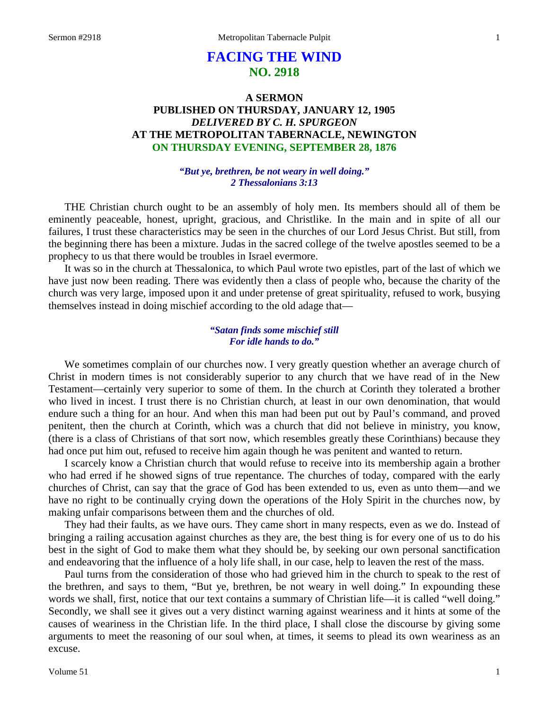# **FACING THE WIND NO. 2918**

## **A SERMON PUBLISHED ON THURSDAY, JANUARY 12, 1905** *DELIVERED BY C. H. SPURGEON* **AT THE METROPOLITAN TABERNACLE, NEWINGTON ON THURSDAY EVENING, SEPTEMBER 28, 1876**

### *"But ye, brethren, be not weary in well doing." 2 Thessalonians 3:13*

THE Christian church ought to be an assembly of holy men. Its members should all of them be eminently peaceable, honest, upright, gracious, and Christlike. In the main and in spite of all our failures, I trust these characteristics may be seen in the churches of our Lord Jesus Christ. But still, from the beginning there has been a mixture. Judas in the sacred college of the twelve apostles seemed to be a prophecy to us that there would be troubles in Israel evermore.

It was so in the church at Thessalonica, to which Paul wrote two epistles, part of the last of which we have just now been reading. There was evidently then a class of people who, because the charity of the church was very large, imposed upon it and under pretense of great spirituality, refused to work, busying themselves instead in doing mischief according to the old adage that—

## *"Satan finds some mischief still For idle hands to do."*

We sometimes complain of our churches now. I very greatly question whether an average church of Christ in modern times is not considerably superior to any church that we have read of in the New Testament—certainly very superior to some of them. In the church at Corinth they tolerated a brother who lived in incest. I trust there is no Christian church, at least in our own denomination, that would endure such a thing for an hour. And when this man had been put out by Paul's command, and proved penitent, then the church at Corinth, which was a church that did not believe in ministry, you know, (there is a class of Christians of that sort now, which resembles greatly these Corinthians) because they had once put him out, refused to receive him again though he was penitent and wanted to return.

I scarcely know a Christian church that would refuse to receive into its membership again a brother who had erred if he showed signs of true repentance. The churches of today, compared with the early churches of Christ, can say that the grace of God has been extended to us, even as unto them—and we have no right to be continually crying down the operations of the Holy Spirit in the churches now, by making unfair comparisons between them and the churches of old.

They had their faults, as we have ours. They came short in many respects, even as we do. Instead of bringing a railing accusation against churches as they are, the best thing is for every one of us to do his best in the sight of God to make them what they should be, by seeking our own personal sanctification and endeavoring that the influence of a holy life shall, in our case, help to leaven the rest of the mass.

Paul turns from the consideration of those who had grieved him in the church to speak to the rest of the brethren, and says to them, "But ye, brethren, be not weary in well doing." In expounding these words we shall, first, notice that our text contains a summary of Christian life—it is called "well doing." Secondly, we shall see it gives out a very distinct warning against weariness and it hints at some of the causes of weariness in the Christian life. In the third place, I shall close the discourse by giving some arguments to meet the reasoning of our soul when, at times, it seems to plead its own weariness as an excuse.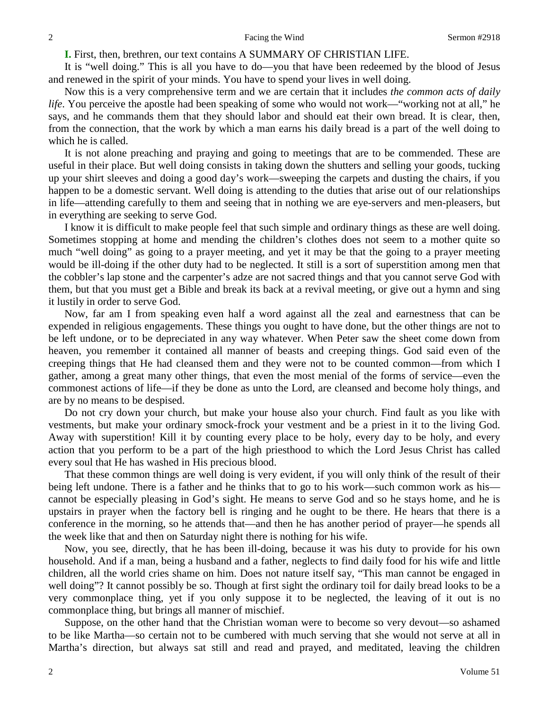**I.** First, then, brethren, our text contains A SUMMARY OF CHRISTIAN LIFE.

It is "well doing." This is all you have to do—you that have been redeemed by the blood of Jesus and renewed in the spirit of your minds. You have to spend your lives in well doing.

Now this is a very comprehensive term and we are certain that it includes *the common acts of daily life*. You perceive the apostle had been speaking of some who would not work—"working not at all," he says, and he commands them that they should labor and should eat their own bread. It is clear, then, from the connection, that the work by which a man earns his daily bread is a part of the well doing to which he is called.

It is not alone preaching and praying and going to meetings that are to be commended. These are useful in their place. But well doing consists in taking down the shutters and selling your goods, tucking up your shirt sleeves and doing a good day's work—sweeping the carpets and dusting the chairs, if you happen to be a domestic servant. Well doing is attending to the duties that arise out of our relationships in life—attending carefully to them and seeing that in nothing we are eye-servers and men-pleasers, but in everything are seeking to serve God.

I know it is difficult to make people feel that such simple and ordinary things as these are well doing. Sometimes stopping at home and mending the children's clothes does not seem to a mother quite so much "well doing" as going to a prayer meeting, and yet it may be that the going to a prayer meeting would be ill-doing if the other duty had to be neglected. It still is a sort of superstition among men that the cobbler's lap stone and the carpenter's adze are not sacred things and that you cannot serve God with them, but that you must get a Bible and break its back at a revival meeting, or give out a hymn and sing it lustily in order to serve God.

Now, far am I from speaking even half a word against all the zeal and earnestness that can be expended in religious engagements. These things you ought to have done, but the other things are not to be left undone, or to be depreciated in any way whatever. When Peter saw the sheet come down from heaven, you remember it contained all manner of beasts and creeping things. God said even of the creeping things that He had cleansed them and they were not to be counted common—from which I gather, among a great many other things, that even the most menial of the forms of service—even the commonest actions of life—if they be done as unto the Lord, are cleansed and become holy things, and are by no means to be despised.

Do not cry down your church, but make your house also your church. Find fault as you like with vestments, but make your ordinary smock-frock your vestment and be a priest in it to the living God. Away with superstition! Kill it by counting every place to be holy, every day to be holy, and every action that you perform to be a part of the high priesthood to which the Lord Jesus Christ has called every soul that He has washed in His precious blood.

That these common things are well doing is very evident, if you will only think of the result of their being left undone. There is a father and he thinks that to go to his work—such common work as his cannot be especially pleasing in God's sight. He means to serve God and so he stays home, and he is upstairs in prayer when the factory bell is ringing and he ought to be there. He hears that there is a conference in the morning, so he attends that—and then he has another period of prayer—he spends all the week like that and then on Saturday night there is nothing for his wife.

Now, you see, directly, that he has been ill-doing, because it was his duty to provide for his own household. And if a man, being a husband and a father, neglects to find daily food for his wife and little children, all the world cries shame on him. Does not nature itself say, "This man cannot be engaged in well doing"? It cannot possibly be so. Though at first sight the ordinary toil for daily bread looks to be a very commonplace thing, yet if you only suppose it to be neglected, the leaving of it out is no commonplace thing, but brings all manner of mischief.

Suppose, on the other hand that the Christian woman were to become so very devout—so ashamed to be like Martha—so certain not to be cumbered with much serving that she would not serve at all in Martha's direction, but always sat still and read and prayed, and meditated, leaving the children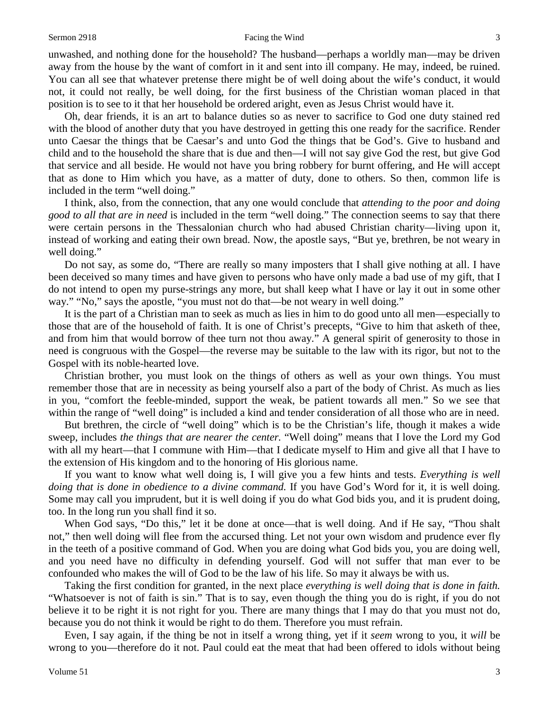unwashed, and nothing done for the household? The husband—perhaps a worldly man—may be driven away from the house by the want of comfort in it and sent into ill company. He may, indeed, be ruined. You can all see that whatever pretense there might be of well doing about the wife's conduct, it would not, it could not really, be well doing, for the first business of the Christian woman placed in that position is to see to it that her household be ordered aright, even as Jesus Christ would have it.

Oh, dear friends, it is an art to balance duties so as never to sacrifice to God one duty stained red with the blood of another duty that you have destroyed in getting this one ready for the sacrifice. Render unto Caesar the things that be Caesar's and unto God the things that be God's. Give to husband and child and to the household the share that is due and then—I will not say give God the rest, but give God that service and all beside. He would not have you bring robbery for burnt offering, and He will accept that as done to Him which you have, as a matter of duty, done to others. So then, common life is included in the term "well doing."

I think, also, from the connection, that any one would conclude that *attending to the poor and doing good to all that are in need* is included in the term "well doing." The connection seems to say that there were certain persons in the Thessalonian church who had abused Christian charity—living upon it, instead of working and eating their own bread. Now, the apostle says, "But ye, brethren, be not weary in well doing."

Do not say, as some do, "There are really so many imposters that I shall give nothing at all. I have been deceived so many times and have given to persons who have only made a bad use of my gift, that I do not intend to open my purse-strings any more, but shall keep what I have or lay it out in some other way." "No," says the apostle, "you must not do that—be not weary in well doing."

It is the part of a Christian man to seek as much as lies in him to do good unto all men—especially to those that are of the household of faith. It is one of Christ's precepts, "Give to him that asketh of thee, and from him that would borrow of thee turn not thou away." A general spirit of generosity to those in need is congruous with the Gospel—the reverse may be suitable to the law with its rigor, but not to the Gospel with its noble-hearted love.

Christian brother, you must look on the things of others as well as your own things. You must remember those that are in necessity as being yourself also a part of the body of Christ. As much as lies in you, "comfort the feeble-minded, support the weak, be patient towards all men." So we see that within the range of "well doing" is included a kind and tender consideration of all those who are in need.

But brethren, the circle of "well doing" which is to be the Christian's life, though it makes a wide sweep, includes *the things that are nearer the center.* "Well doing" means that I love the Lord my God with all my heart—that I commune with Him—that I dedicate myself to Him and give all that I have to the extension of His kingdom and to the honoring of His glorious name.

If you want to know what well doing is, I will give you a few hints and tests. *Everything is well doing that is done in obedience to a divine command.* If you have God's Word for it, it is well doing. Some may call you imprudent, but it is well doing if you do what God bids you, and it is prudent doing, too. In the long run you shall find it so.

When God says, "Do this," let it be done at once—that is well doing. And if He say, "Thou shalt not," then well doing will flee from the accursed thing. Let not your own wisdom and prudence ever fly in the teeth of a positive command of God. When you are doing what God bids you, you are doing well, and you need have no difficulty in defending yourself. God will not suffer that man ever to be confounded who makes the will of God to be the law of his life. So may it always be with us.

Taking the first condition for granted, in the next place *everything is well doing that is done in faith.*  "Whatsoever is not of faith is sin." That is to say, even though the thing you do is right, if you do not believe it to be right it is not right for you. There are many things that I may do that you must not do, because you do not think it would be right to do them. Therefore you must refrain.

Even, I say again, if the thing be not in itself a wrong thing, yet if it *seem* wrong to you, it *will* be wrong to you—therefore do it not. Paul could eat the meat that had been offered to idols without being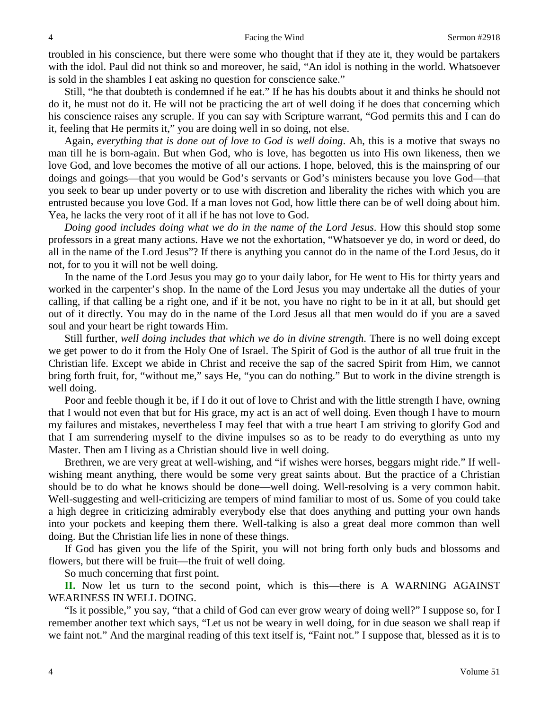troubled in his conscience, but there were some who thought that if they ate it, they would be partakers with the idol. Paul did not think so and moreover, he said, "An idol is nothing in the world. Whatsoever is sold in the shambles I eat asking no question for conscience sake."

Still, "he that doubteth is condemned if he eat." If he has his doubts about it and thinks he should not do it, he must not do it. He will not be practicing the art of well doing if he does that concerning which his conscience raises any scruple. If you can say with Scripture warrant, "God permits this and I can do it, feeling that He permits it," you are doing well in so doing, not else.

Again, *everything that is done out of love to God is well doing*. Ah, this is a motive that sways no man till he is born-again. But when God, who is love, has begotten us into His own likeness, then we love God, and love becomes the motive of all our actions. I hope, beloved, this is the mainspring of our doings and goings—that you would be God's servants or God's ministers because you love God—that you seek to bear up under poverty or to use with discretion and liberality the riches with which you are entrusted because you love God. If a man loves not God, how little there can be of well doing about him. Yea, he lacks the very root of it all if he has not love to God.

*Doing good includes doing what we do in the name of the Lord Jesus*. How this should stop some professors in a great many actions. Have we not the exhortation, "Whatsoever ye do, in word or deed, do all in the name of the Lord Jesus"? If there is anything you cannot do in the name of the Lord Jesus, do it not, for to you it will not be well doing.

In the name of the Lord Jesus you may go to your daily labor, for He went to His for thirty years and worked in the carpenter's shop. In the name of the Lord Jesus you may undertake all the duties of your calling, if that calling be a right one, and if it be not, you have no right to be in it at all, but should get out of it directly. You may do in the name of the Lord Jesus all that men would do if you are a saved soul and your heart be right towards Him.

Still further, *well doing includes that which we do in divine strength*. There is no well doing except we get power to do it from the Holy One of Israel. The Spirit of God is the author of all true fruit in the Christian life. Except we abide in Christ and receive the sap of the sacred Spirit from Him, we cannot bring forth fruit, for, "without me," says He, "you can do nothing." But to work in the divine strength is well doing.

Poor and feeble though it be, if I do it out of love to Christ and with the little strength I have, owning that I would not even that but for His grace, my act is an act of well doing. Even though I have to mourn my failures and mistakes, nevertheless I may feel that with a true heart I am striving to glorify God and that I am surrendering myself to the divine impulses so as to be ready to do everything as unto my Master. Then am I living as a Christian should live in well doing.

Brethren, we are very great at well-wishing, and "if wishes were horses, beggars might ride." If wellwishing meant anything, there would be some very great saints about. But the practice of a Christian should be to do what he knows should be done—well doing. Well-resolving is a very common habit. Well-suggesting and well-criticizing are tempers of mind familiar to most of us. Some of you could take a high degree in criticizing admirably everybody else that does anything and putting your own hands into your pockets and keeping them there. Well-talking is also a great deal more common than well doing. But the Christian life lies in none of these things.

If God has given you the life of the Spirit, you will not bring forth only buds and blossoms and flowers, but there will be fruit—the fruit of well doing.

So much concerning that first point.

**II.** Now let us turn to the second point, which is this—there is A WARNING AGAINST WEARINESS IN WELL DOING.

"Is it possible," you say, "that a child of God can ever grow weary of doing well?" I suppose so, for I remember another text which says, "Let us not be weary in well doing, for in due season we shall reap if we faint not." And the marginal reading of this text itself is, "Faint not." I suppose that, blessed as it is to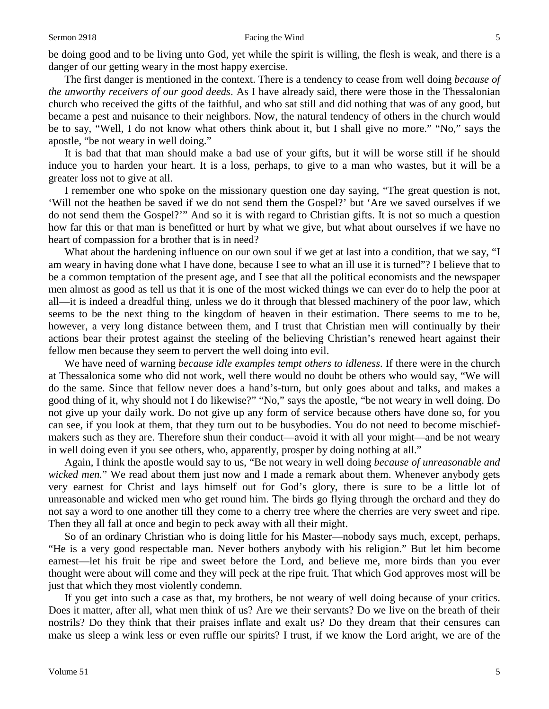#### Sermon 2918 **Facing the Wind** 5

be doing good and to be living unto God, yet while the spirit is willing, the flesh is weak, and there is a danger of our getting weary in the most happy exercise.

The first danger is mentioned in the context. There is a tendency to cease from well doing *because of the unworthy receivers of our good deeds*. As I have already said, there were those in the Thessalonian church who received the gifts of the faithful, and who sat still and did nothing that was of any good, but became a pest and nuisance to their neighbors. Now, the natural tendency of others in the church would be to say, "Well, I do not know what others think about it, but I shall give no more." "No," says the apostle, "be not weary in well doing."

It is bad that that man should make a bad use of your gifts, but it will be worse still if he should induce you to harden your heart. It is a loss, perhaps, to give to a man who wastes, but it will be a greater loss not to give at all.

I remember one who spoke on the missionary question one day saying, "The great question is not, 'Will not the heathen be saved if we do not send them the Gospel?' but 'Are we saved ourselves if we do not send them the Gospel?'" And so it is with regard to Christian gifts. It is not so much a question how far this or that man is benefitted or hurt by what we give, but what about ourselves if we have no heart of compassion for a brother that is in need?

What about the hardening influence on our own soul if we get at last into a condition, that we say, "I am weary in having done what I have done, because I see to what an ill use it is turned"? I believe that to be a common temptation of the present age, and I see that all the political economists and the newspaper men almost as good as tell us that it is one of the most wicked things we can ever do to help the poor at all—it is indeed a dreadful thing, unless we do it through that blessed machinery of the poor law, which seems to be the next thing to the kingdom of heaven in their estimation. There seems to me to be, however, a very long distance between them, and I trust that Christian men will continually by their actions bear their protest against the steeling of the believing Christian's renewed heart against their fellow men because they seem to pervert the well doing into evil.

We have need of warning *because idle examples tempt others to idleness*. If there were in the church at Thessalonica some who did not work, well there would no doubt be others who would say, "We will do the same. Since that fellow never does a hand's-turn, but only goes about and talks, and makes a good thing of it, why should not I do likewise?" "No," says the apostle, "be not weary in well doing. Do not give up your daily work. Do not give up any form of service because others have done so, for you can see, if you look at them, that they turn out to be busybodies. You do not need to become mischiefmakers such as they are. Therefore shun their conduct—avoid it with all your might—and be not weary in well doing even if you see others, who, apparently, prosper by doing nothing at all."

Again, I think the apostle would say to us, "Be not weary in well doing *because of unreasonable and wicked men.*" We read about them just now and I made a remark about them. Whenever anybody gets very earnest for Christ and lays himself out for God's glory, there is sure to be a little lot of unreasonable and wicked men who get round him. The birds go flying through the orchard and they do not say a word to one another till they come to a cherry tree where the cherries are very sweet and ripe. Then they all fall at once and begin to peck away with all their might.

So of an ordinary Christian who is doing little for his Master—nobody says much, except, perhaps, "He is a very good respectable man. Never bothers anybody with his religion." But let him become earnest—let his fruit be ripe and sweet before the Lord, and believe me, more birds than you ever thought were about will come and they will peck at the ripe fruit. That which God approves most will be just that which they most violently condemn.

If you get into such a case as that, my brothers, be not weary of well doing because of your critics. Does it matter, after all, what men think of us? Are we their servants? Do we live on the breath of their nostrils? Do they think that their praises inflate and exalt us? Do they dream that their censures can make us sleep a wink less or even ruffle our spirits? I trust, if we know the Lord aright, we are of the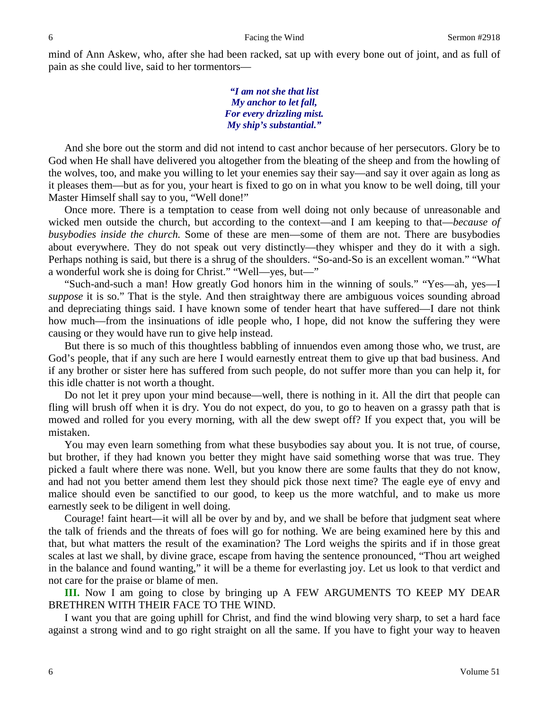mind of Ann Askew, who, after she had been racked, sat up with every bone out of joint, and as full of pain as she could live, said to her tormentors—

> *"I am not she that list My anchor to let fall, For every drizzling mist. My ship's substantial."*

And she bore out the storm and did not intend to cast anchor because of her persecutors. Glory be to God when He shall have delivered you altogether from the bleating of the sheep and from the howling of the wolves, too, and make you willing to let your enemies say their say—and say it over again as long as it pleases them—but as for you, your heart is fixed to go on in what you know to be well doing, till your Master Himself shall say to you, "Well done!"

Once more. There is a temptation to cease from well doing not only because of unreasonable and wicked men outside the church, but according to the context—and I am keeping to that—*because of busybodies inside the church.* Some of these are men—some of them are not. There are busybodies about everywhere. They do not speak out very distinctly—they whisper and they do it with a sigh. Perhaps nothing is said, but there is a shrug of the shoulders. "So-and-So is an excellent woman." "What a wonderful work she is doing for Christ." "Well—yes, but—"

"Such-and-such a man! How greatly God honors him in the winning of souls." "Yes—ah, yes—I *suppose* it is so." That is the style. And then straightway there are ambiguous voices sounding abroad and depreciating things said. I have known some of tender heart that have suffered—I dare not think how much—from the insinuations of idle people who, I hope, did not know the suffering they were causing or they would have run to give help instead.

But there is so much of this thoughtless babbling of innuendos even among those who, we trust, are God's people, that if any such are here I would earnestly entreat them to give up that bad business. And if any brother or sister here has suffered from such people, do not suffer more than you can help it, for this idle chatter is not worth a thought.

Do not let it prey upon your mind because—well, there is nothing in it. All the dirt that people can fling will brush off when it is dry. You do not expect, do you, to go to heaven on a grassy path that is mowed and rolled for you every morning, with all the dew swept off? If you expect that, you will be mistaken.

You may even learn something from what these busybodies say about you. It is not true, of course, but brother, if they had known you better they might have said something worse that was true. They picked a fault where there was none. Well, but you know there are some faults that they do not know, and had not you better amend them lest they should pick those next time? The eagle eye of envy and malice should even be sanctified to our good, to keep us the more watchful, and to make us more earnestly seek to be diligent in well doing.

Courage! faint heart—it will all be over by and by, and we shall be before that judgment seat where the talk of friends and the threats of foes will go for nothing. We are being examined here by this and that, but what matters the result of the examination? The Lord weighs the spirits and if in those great scales at last we shall, by divine grace, escape from having the sentence pronounced, "Thou art weighed in the balance and found wanting," it will be a theme for everlasting joy. Let us look to that verdict and not care for the praise or blame of men.

**III.** Now I am going to close by bringing up A FEW ARGUMENTS TO KEEP MY DEAR BRETHREN WITH THEIR FACE TO THE WIND.

I want you that are going uphill for Christ, and find the wind blowing very sharp, to set a hard face against a strong wind and to go right straight on all the same. If you have to fight your way to heaven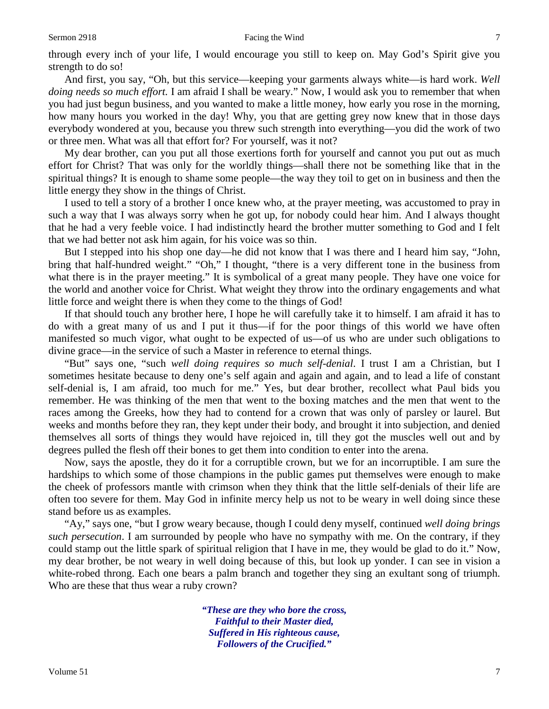#### Sermon 2918 **Facing the Wind** 7

through every inch of your life, I would encourage you still to keep on. May God's Spirit give you strength to do so!

And first, you say, "Oh, but this service—keeping your garments always white—is hard work. *Well doing needs so much effort.* I am afraid I shall be weary." Now, I would ask you to remember that when you had just begun business, and you wanted to make a little money, how early you rose in the morning, how many hours you worked in the day! Why, you that are getting grey now knew that in those days everybody wondered at you, because you threw such strength into everything—you did the work of two or three men. What was all that effort for? For yourself, was it not?

My dear brother, can you put all those exertions forth for yourself and cannot you put out as much effort for Christ? That was only for the worldly things—shall there not be something like that in the spiritual things? It is enough to shame some people—the way they toil to get on in business and then the little energy they show in the things of Christ.

I used to tell a story of a brother I once knew who, at the prayer meeting, was accustomed to pray in such a way that I was always sorry when he got up, for nobody could hear him. And I always thought that he had a very feeble voice. I had indistinctly heard the brother mutter something to God and I felt that we had better not ask him again, for his voice was so thin.

But I stepped into his shop one day—he did not know that I was there and I heard him say, "John, bring that half-hundred weight." "Oh," I thought, "there is a very different tone in the business from what there is in the prayer meeting." It is symbolical of a great many people. They have one voice for the world and another voice for Christ. What weight they throw into the ordinary engagements and what little force and weight there is when they come to the things of God!

If that should touch any brother here, I hope he will carefully take it to himself. I am afraid it has to do with a great many of us and I put it thus—if for the poor things of this world we have often manifested so much vigor, what ought to be expected of us—of us who are under such obligations to divine grace—in the service of such a Master in reference to eternal things.

"But" says one, "such *well doing requires so much self-denial*. I trust I am a Christian, but I sometimes hesitate because to deny one's self again and again and again, and to lead a life of constant self-denial is, I am afraid, too much for me." Yes, but dear brother, recollect what Paul bids you remember. He was thinking of the men that went to the boxing matches and the men that went to the races among the Greeks, how they had to contend for a crown that was only of parsley or laurel. But weeks and months before they ran, they kept under their body, and brought it into subjection, and denied themselves all sorts of things they would have rejoiced in, till they got the muscles well out and by degrees pulled the flesh off their bones to get them into condition to enter into the arena.

Now, says the apostle, they do it for a corruptible crown, but we for an incorruptible. I am sure the hardships to which some of those champions in the public games put themselves were enough to make the cheek of professors mantle with crimson when they think that the little self-denials of their life are often too severe for them. May God in infinite mercy help us not to be weary in well doing since these stand before us as examples.

"Ay," says one, "but I grow weary because, though I could deny myself, continued *well doing brings such persecution*. I am surrounded by people who have no sympathy with me. On the contrary, if they could stamp out the little spark of spiritual religion that I have in me, they would be glad to do it." Now, my dear brother, be not weary in well doing because of this, but look up yonder. I can see in vision a white-robed throng. Each one bears a palm branch and together they sing an exultant song of triumph. Who are these that thus wear a ruby crown?

> *"These are they who bore the cross, Faithful to their Master died, Suffered in His righteous cause, Followers of the Crucified."*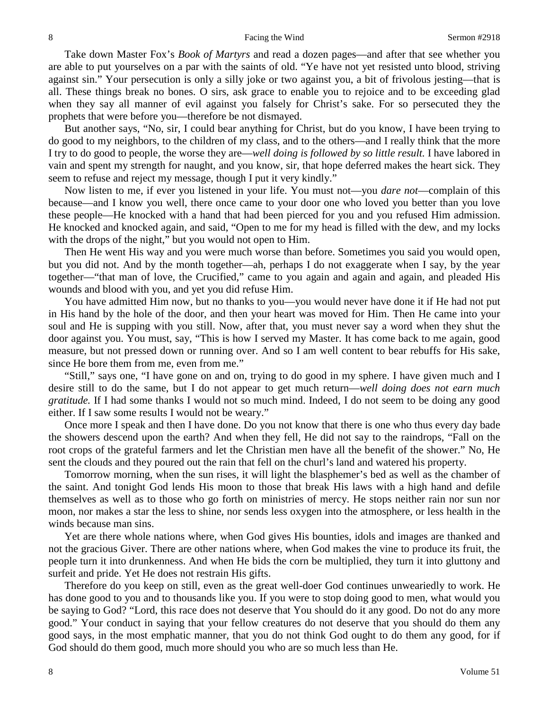Take down Master Fox's *Book of Martyrs* and read a dozen pages—and after that see whether you are able to put yourselves on a par with the saints of old. "Ye have not yet resisted unto blood, striving against sin." Your persecution is only a silly joke or two against you, a bit of frivolous jesting—that is all. These things break no bones. O sirs, ask grace to enable you to rejoice and to be exceeding glad when they say all manner of evil against you falsely for Christ's sake. For so persecuted they the prophets that were before you—therefore be not dismayed.

But another says, "No, sir, I could bear anything for Christ, but do you know, I have been trying to do good to my neighbors, to the children of my class, and to the others—and I really think that the more I try to do good to people, the worse they are—*well doing is followed by so little result.* I have labored in vain and spent my strength for naught, and you know, sir, that hope deferred makes the heart sick. They seem to refuse and reject my message, though I put it very kindly."

Now listen to me, if ever you listened in your life. You must not—you *dare not*—complain of this because—and I know you well, there once came to your door one who loved you better than you love these people—He knocked with a hand that had been pierced for you and you refused Him admission. He knocked and knocked again, and said, "Open to me for my head is filled with the dew, and my locks with the drops of the night," but you would not open to Him.

Then He went His way and you were much worse than before. Sometimes you said you would open, but you did not. And by the month together—ah, perhaps I do not exaggerate when I say, by the year together—"that man of love, the Crucified," came to you again and again and again, and pleaded His wounds and blood with you, and yet you did refuse Him.

You have admitted Him now, but no thanks to you—you would never have done it if He had not put in His hand by the hole of the door, and then your heart was moved for Him. Then He came into your soul and He is supping with you still. Now, after that, you must never say a word when they shut the door against you. You must, say, "This is how I served my Master. It has come back to me again, good measure, but not pressed down or running over. And so I am well content to bear rebuffs for His sake, since He bore them from me, even from me."

"Still," says one, "I have gone on and on, trying to do good in my sphere. I have given much and I desire still to do the same, but I do not appear to get much return—*well doing does not earn much gratitude.* If I had some thanks I would not so much mind. Indeed, I do not seem to be doing any good either. If I saw some results I would not be weary."

Once more I speak and then I have done. Do you not know that there is one who thus every day bade the showers descend upon the earth? And when they fell, He did not say to the raindrops, "Fall on the root crops of the grateful farmers and let the Christian men have all the benefit of the shower." No, He sent the clouds and they poured out the rain that fell on the churl's land and watered his property.

Tomorrow morning, when the sun rises, it will light the blasphemer's bed as well as the chamber of the saint. And tonight God lends His moon to those that break His laws with a high hand and defile themselves as well as to those who go forth on ministries of mercy. He stops neither rain nor sun nor moon, nor makes a star the less to shine, nor sends less oxygen into the atmosphere, or less health in the winds because man sins.

Yet are there whole nations where, when God gives His bounties, idols and images are thanked and not the gracious Giver. There are other nations where, when God makes the vine to produce its fruit, the people turn it into drunkenness. And when He bids the corn be multiplied, they turn it into gluttony and surfeit and pride. Yet He does not restrain His gifts.

Therefore do you keep on still, even as the great well-doer God continues unweariedly to work. He has done good to you and to thousands like you. If you were to stop doing good to men, what would you be saying to God? "Lord, this race does not deserve that You should do it any good. Do not do any more good." Your conduct in saying that your fellow creatures do not deserve that you should do them any good says, in the most emphatic manner, that you do not think God ought to do them any good, for if God should do them good, much more should you who are so much less than He.